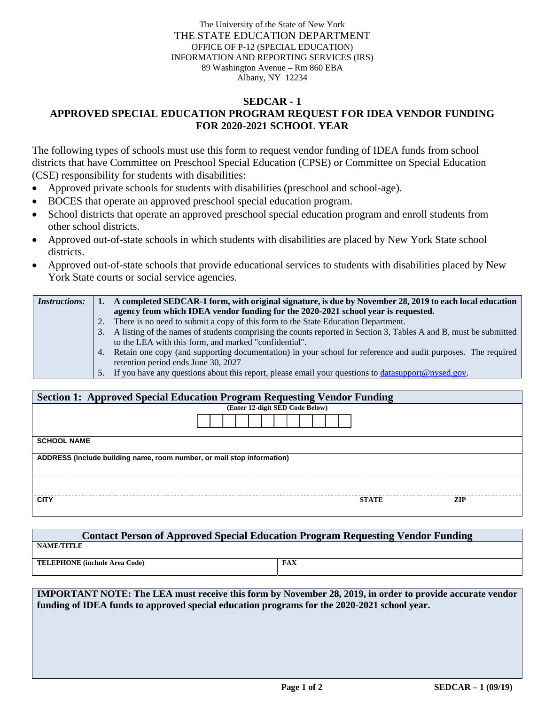The University of the State of New York THE STATE EDUCATION DEPARTMENT OFFICE OF P-12 (SPECIAL EDUCATION) INFORMATION AND REPORTING SERVICES (IRS) 89 Washington Avenue – Rm 860 EBA Albany, NY 12234

## **SEDCAR - 1 APPROVED SPECIAL EDUCATION PROGRAM REQUEST FOR IDEA VENDOR FUNDING FOR 2020-2021 SCHOOL YEAR**

The following types of schools must use this form to request vendor funding of IDEA funds from school districts that have Committee on Preschool Special Education (CPSE) or Committee on Special Education (CSE) responsibility for students with disabilities:

- Approved private schools for students with disabilities (preschool and school-age).
- BOCES that operate an approved preschool special education program.
- School districts that operate an approved preschool special education program and enroll students from other school districts.
- Approved out-of-state schools in which students with disabilities are placed by New York State school districts.
- Approved out-of-state schools that provide educational services to students with disabilities placed by New York State courts or social service agencies.

| <i>Instructions:</i> |    | A completed SEDCAR-1 form, with original signature, is due by November 28, 2019 to each local education           |
|----------------------|----|-------------------------------------------------------------------------------------------------------------------|
|                      |    | agency from which IDEA vendor funding for the 2020-2021 school year is requested.                                 |
|                      |    | 2. There is no need to submit a copy of this form to the State Education Department.                              |
|                      | 3. | A listing of the names of students comprising the counts reported in Section 3, Tables A and B, must be submitted |
|                      |    | to the LEA with this form, and marked "confidential".                                                             |
|                      |    | 4. Retain one copy (and supporting documentation) in your school for reference and audit purposes. The required   |
|                      |    | retention period ends June 30, 2027                                                                               |
|                      |    | 5. If you have any questions about this report, please email your questions to <b>datasupport</b> @nysed.gov.     |

| <b>Section 1: Approved Special Education Program Requesting Vendor Funding</b> |              |            |  |  |  |  |  |  |
|--------------------------------------------------------------------------------|--------------|------------|--|--|--|--|--|--|
| (Enter 12-digit SED Code Below)                                                |              |            |  |  |  |  |  |  |
|                                                                                |              |            |  |  |  |  |  |  |
| <b>SCHOOL NAME</b>                                                             |              |            |  |  |  |  |  |  |
| ADDRESS (include building name, room number, or mail stop information)         |              |            |  |  |  |  |  |  |
|                                                                                |              |            |  |  |  |  |  |  |
| <b>CITY</b>                                                                    | <b>STATE</b> | <b>ZIP</b> |  |  |  |  |  |  |

| <b>Contact Person of Approved Special Education Program Requesting Vendor Funding</b> |     |  |  |  |  |  |  |  |
|---------------------------------------------------------------------------------------|-----|--|--|--|--|--|--|--|
| <b>NAME/TITLE</b>                                                                     |     |  |  |  |  |  |  |  |
| <b>TELEPHONE</b> (include Area Code)                                                  | FAX |  |  |  |  |  |  |  |

**IMPORTANT NOTE: The LEA must receive this form by November 28, 2019, in order to provide accurate vendor funding of IDEA funds to approved special education programs for the 2020-2021 school year.**